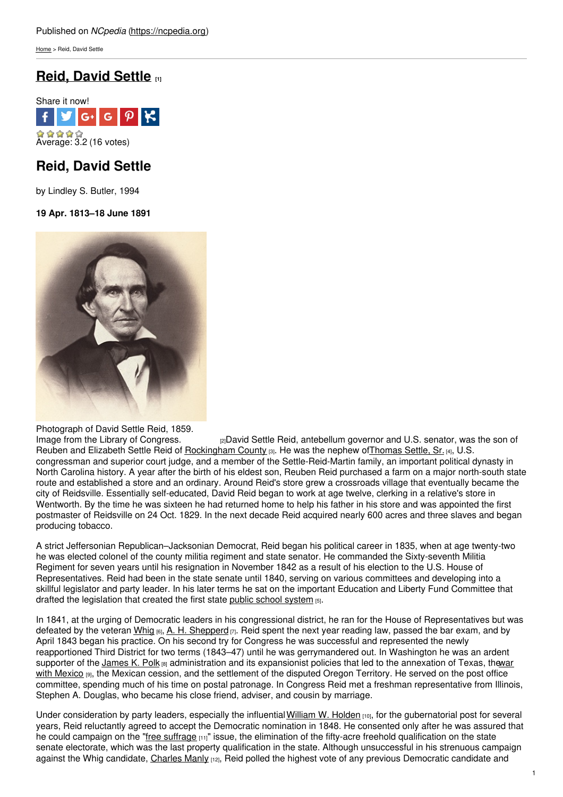[Home](https://ncpedia.org/) > Reid, David Settle

# **Reid, [David](https://ncpedia.org/biography/reid-david-settle) Settle [1]**



## **Reid, David Settle**

by Lindley S. Butler, 1994

## **19 Apr. 1813–18 June 1891**



Photograph of David Settle Reid, 1859.<br>Image from the Library of Congress.

[2]David Settle Reid, antebellum governor and U.S. senator, was the son of Reuben and Elizabeth Settle Reid of [Rockingham](https://ncpedia.org/geography/rockingham) County [3]. He was the nephew of Thomas Settle, Sr. [4], U.S. congressman and superior court judge, and a member of the Settle-Reid-Martin family, an important political dynasty in North Carolina history. A year after the birth of his eldest son, Reuben Reid purchased a farm on a major north-south state route and established a store and an ordinary. Around Reid's store grew a crossroads village that eventually became the city of Reidsville. Essentially self-educated, David Reid began to work at age twelve, clerking in a relative's store in Wentworth. By the time he was sixteen he had returned home to help his father in his store and was appointed the first postmaster of Reidsville on 24 Oct. 1829. In the next decade Reid acquired nearly 600 acres and three slaves and began producing tobacco.

A strict Jeffersonian Republican–Jacksonian Democrat, Reid began his political career in 1835, when at age twenty-two he was elected colonel of the county militia regiment and state senator. He commanded the Sixty-seventh Militia Regiment for seven years until his resignation in November 1842 as a result of his election to the U.S. House of Representatives. Reid had been in the state senate until 1840, serving on various committees and developing into a skillful legislator and party leader. In his later terms he sat on the important Education and Liberty Fund Committee that drafted the legislation that created the first state public school [system](https://ncpedia.org/education-public) [5].

In 1841, at the urging of Democratic leaders in his congressional district, he ran for the House of Representatives but was defeated by the veteran [Whig](https://ncpedia.org/whig-party) [6], A. H. [Shepperd](https://ncpedia.org/biography/shepperd-augustine-henry)  $\eta$ . Reid spent the next year reading law, passed the bar exam, and by April 1843 began his practice. On his second try for Congress he was successful and represented the newly reapportioned Third District for two terms (1843–47) until he was gerrymandered out. In Washington he was an ardent supporter of the [James](https://ncpedia.org/biography/polk-james-knox) K. Polk [8] [administration](https://ncpedia.org/mexican-war) and its expansionist policies that led to the annexation of Texas, thewar with Mexico [9], the Mexican cession, and the settlement of the disputed Oregon Territory. He served on the post office committee, spending much of his time on postal patronage. In Congress Reid met a freshman representative from Illinois, Stephen A. Douglas, who became his close friend, adviser, and cousin by marriage.

Under consideration by party leaders, especially the influential [William](https://ncpedia.org/biography/holden-william-woods) W. Holden [10], for the qubernatorial post for several years, Reid reluctantly agreed to accept the Democratic nomination in 1848. He consented only after he was assured that he could campaign on the "free [suffrage](https://ncpedia.org/free-suffrage)  $[11]$ " issue, the elimination of the fifty-acre freehold qualification on the state senate electorate, which was the last property qualification in the state. Although unsuccessful in his strenuous campaign against the Whig candidate, [Charles](https://ncpedia.org/biography/manly-charles) Manly [12], Reid polled the highest vote of any previous Democratic candidate and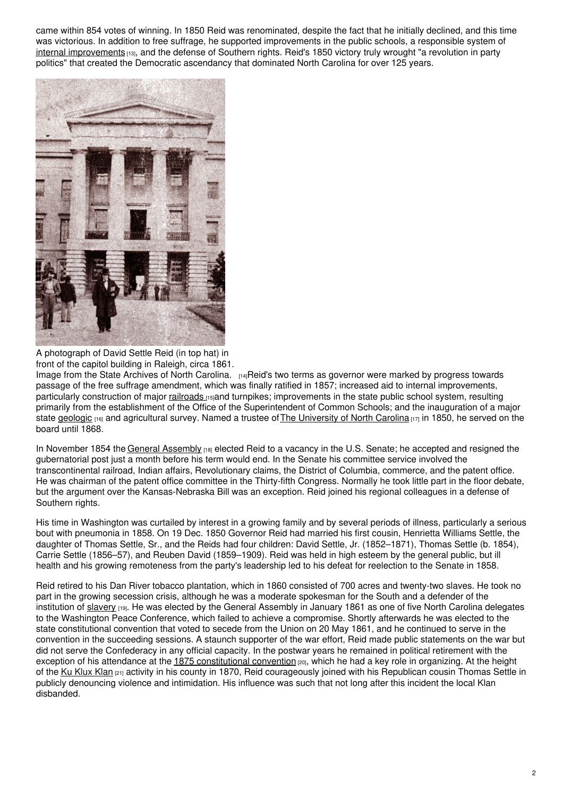came within 854 votes of winning. In 1850 Reid was renominated, despite the fact that he initially declined, and this time was victorious. In addition to free suffrage, he supported improvements in the public schools, a responsible system of internal [improvements](https://ncpedia.org/internal-improvements-0) [13], and the defense of Southern rights. Reid's 1850 victory truly wrought "a revolution in party politics" that created the Democratic ascendancy that dominated North Carolina for over 125 years.



A photograph of David Settle Reid (in top hat) in front of the capitol building in Raleigh, circa 1861.

Image from the State Archives of North [Carolina.](https://www.flickr.com/photos/north-carolina-state-archives/2432212442) [14]Reid's two terms as governor were marked by progress towards passage of the free suffrage amendment, which was finally ratified in 1857; increased aid to internal improvements, particularly construction of major [railroads](https://ncpedia.org/railroads) [15]and turnpikes; improvements in the state public school system, resulting primarily from the establishment of the Office of the Superintendent of Common Schools; and the inauguration of a major state [geologic](https://ncpedia.org/geological-survey) [16] and agricultural survey. Named a trustee of The [University](https://ncpedia.org/university-north-carolina-chapel-hi) of North Carolina [17] in 1850, he served on the board until 1868.

In November 1854 the General [Assembly](https://ncpedia.org/general-assembly)  $_{1181}$  elected Reid to a vacancy in the U.S. Senate; he accepted and resigned the gubernatorial post just a month before his term would end. In the Senate his committee service involved the transcontinental railroad, Indian affairs, Revolutionary claims, the District of Columbia, commerce, and the patent office. He was chairman of the patent office committee in the Thirty-fifth Congress. Normally he took little part in the floor debate, but the argument over the Kansas-Nebraska Bill was an exception. Reid joined his regional colleagues in a defense of Southern rights.

His time in Washington was curtailed by interest in a growing family and by several periods of illness, particularly a serious bout with pneumonia in 1858. On 19 Dec. 1850 Governor Reid had married his first cousin, Henrietta Williams Settle, the daughter of Thomas Settle, Sr., and the Reids had four children: David Settle, Jr. (1852–1871), Thomas Settle (b. 1854), Carrie Settle (1856–57), and Reuben David (1859–1909). Reid was held in high esteem by the general public, but ill health and his growing remoteness from the party's leadership led to his defeat for reelection to the Senate in 1858.

Reid retired to his Dan River tobacco plantation, which in 1860 consisted of 700 acres and twenty-two slaves. He took no part in the growing secession crisis, although he was a moderate spokesman for the South and a defender of the institution of [slavery](https://ncpedia.org/slavery) [19]. He was elected by the General Assembly in January 1861 as one of five North Carolina delegates to the Washington Peace Conference, which failed to achieve a compromise. Shortly afterwards he was elected to the state constitutional convention that voted to secede from the Union on 20 May 1861, and he continued to serve in the convention in the succeeding sessions. A staunch supporter of the war effort, Reid made public statements on the war but did not serve the Confederacy in any official capacity. In the postwar years he remained in political retirement with the exception of his attendance at the 1875 [constitutional](https://ncpedia.org/government/convention-1875) convention  $_{[20]}$ , which he had a key role in organizing. At the height of the Ku [Klux](https://ncpedia.org/ku-klux-klan) Klan [21] activity in his county in 1870, Reid courageously joined with his Republican cousin Thomas Settle in publicly denouncing violence and intimidation. His influence was such that not long after this incident the local Klan disbanded.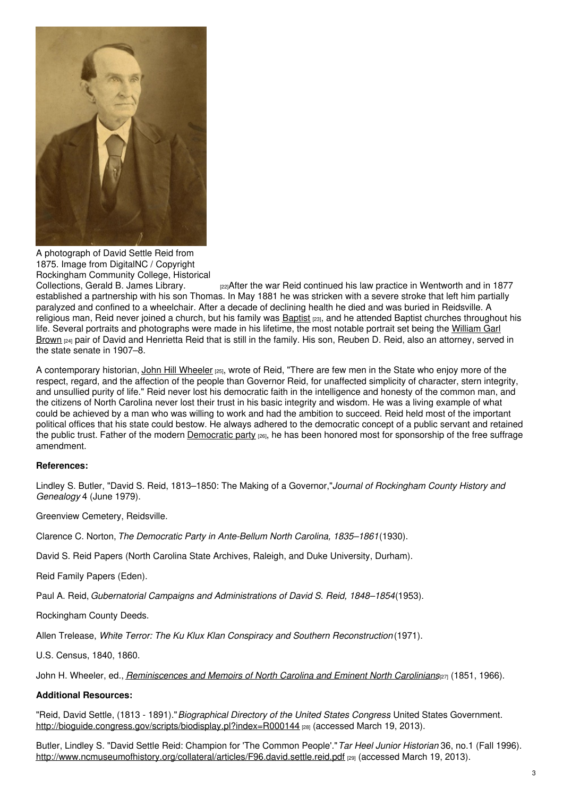

A photograph of David Settle Reid from 1875. Image from DigitalNC / Copyright Rockingham Community College, Historical

regarater the war Reid continued his law practice in Wentworth and in 1877 established a partnership with his son Thomas. In May 1881 he was stricken with a severe stroke that left him partially paralyzed and confined to a wheelchair. After a decade of declining health he died and was buried in Reidsville. A religious man, Reid never joined a church, but his family was [Baptist](https://ncpedia.org/baptists) [23], and he attended Baptist churches throughout his life. Several portraits and [photographs](https://ncpedia.org/biography/browne-brown-william-garl) were made in his lifetime, the most notable portrait set being the William Garl Brown <sub>[24]</sub> pair of David and Henrietta Reid that is still in the family. His son, Reuben D. Reid, also an attorney, served in the state senate in 1907–8.

A contemporary historian, John Hill [Wheeler](https://ncpedia.org/biography/wheeler-john-hill) [25], wrote of Reid, "There are few men in the State who enjoy more of the respect, regard, and the affection of the people than Governor Reid, for unaffected simplicity of character, stern integrity, and unsullied purity of life." Reid never lost his democratic faith in the intelligence and honesty of the common man, and the citizens of North Carolina never lost their trust in his basic integrity and wisdom. He was a living example of what could be achieved by a man who was willing to work and had the ambition to succeed. Reid held most of the important political offices that his state could bestow. He always adhered to the democratic concept of a public servant and retained the public trust. Father of the modern [Democratic](https://ncpedia.org/democratic-party) party [26], he has been honored most for sponsorship of the free suffrage amendment.

#### **References:**

Lindley S. Butler, "David S. Reid, 1813–1850: The Making of a Governor,"*Journal of Rockingham County History and Genealogy* 4 (June 1979).

Greenview Cemetery, Reidsville.

Clarence C. Norton, *The Democratic Party in Ante-Bellum North Carolina, 1835–1861*(1930).

David S. Reid Papers (North Carolina State Archives, Raleigh, and Duke University, Durham).

Reid Family Papers (Eden).

Paul A. Reid, *Gubernatorial Campaigns and Administrations of David S. Reid, 1848–1854*(1953).

Rockingham County Deeds.

Allen Trelease, *White Terror: The Ku Klux Klan Conspiracy and Southern Reconstruction* (1971).

U.S. Census, 1840, 1860.

John H. Wheeler, ed., *[Reminiscences](https://archive.org/stream/reminiscencesmemwhee#page/156/mode/2up) and Memoirs of North Carolina and Eminent North Carolinians*[27] (1851, 1966).

### **Additional Resources:**

"Reid, David Settle, (1813 - 1891)."*Biographical Directory of the United States Congress*. United States Government. <http://bioguide.congress.gov/scripts/biodisplay.pl?index=R000144> [28] (accessed March 19, 2013).

Butler, Lindley S. "David Settle Reid: Champion for 'The Common People'."*Tar Heel Junior Historian* 36, no.1 (Fall 1996). <http://www.ncmuseumofhistory.org/collateral/articles/F96.david.settle.reid.pdf> [29] (accessed March 19, 2013).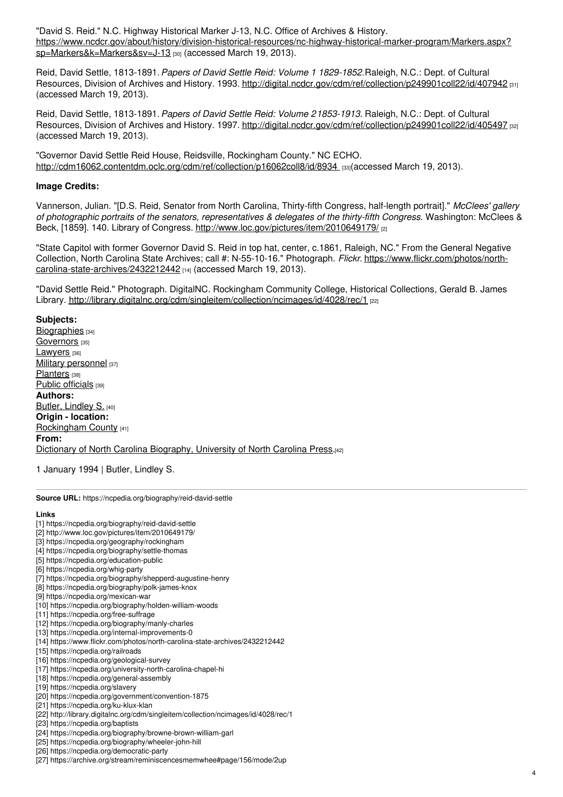"David S. Reid." N.C. Highway Historical Marker J-13, N.C. Office of Archives & History. [https://www.ncdcr.gov/about/history/division-historical-resources/nc-highway-historical-marker-program/Markers.aspx?](https://www.ncdcr.gov/about/history/division-historical-resources/nc-highway-historical-marker-program/Markers.aspx?sp=Markers&k=Markers&sv=J-13) sp=Markers&k=Markers&sv=J-13 [30] (accessed March 19, 2013).

Reid, David Settle, 1813-1891.*Papers of David Settle Reid: Volume 1 1829-1852.*Raleigh, N.C.: Dept. of Cultural Resources, Division of Archives and History. 1993. <http://digital.ncdcr.gov/cdm/ref/collection/p249901coll22/id/407942> [31] (accessed March 19, 2013).

Reid, David Settle, 1813-1891.*Papers of David Settle Reid: Volume 21853-1913.* Raleigh, N.C.: Dept. of Cultural Resources, Division of Archives and History. 1997. <http://digital.ncdcr.gov/cdm/ref/collection/p249901coll22/id/405497> [32] (accessed March 19, 2013).

"Governor David Settle Reid House, Reidsville, Rockingham County." NC ECHO. [http://cdm16062.contentdm.oclc.org/cdm/ref/collection/p16062coll8/id/8934](http://cdm16062.contentdm.oclc.org/cdm/ref/collection/p16062coll8/id/8934�) [33](accessed March 19, 2013).

### **Image Credits:**

Vannerson, Julian. "[D.S. Reid, Senator from North Carolina, Thirty-fifth Congress, half-length portrait]." *McClees' gallery of photographic portraits of the senators, representatives & delegates of the thirty-fifth Congress*. Washington: McClees & Beck, [1859]. 140. Library of Congress. <http://www.loc.gov/pictures/item/2010649179/> [2]

"State Capitol with former Governor David S. Reid in top hat, center, c.1861, Raleigh, NC." From the General Negative Collection, North Carolina State Archives; call #: N-55-10-16." Photograph. *Flickr*. [https://www.flickr.com/photos/north](https://www.flickr.com/photos/north-carolina-state-archives/2432212442)carolina-state-archives/2432212442 [14] (accessed March 19, 2013).

"David Settle Reid." Photograph. DigitalNC. Rockingham Community College, Historical Collections, Gerald B. James Library. <http://library.digitalnc.org/cdm/singleitem/collection/ncimages/id/4028/rec/1> [22]

**Subjects:** [Biographies](https://ncpedia.org/category/subjects/biography-term) [34] [Governors](https://ncpedia.org/category/subjects/governors) [35] [Lawyers](https://ncpedia.org/category/subjects/lawyers) [36] Military [personnel](https://ncpedia.org/category/subjects/soldiers) [37] [Planters](https://ncpedia.org/category/subjects/planters) [38] Public [officials](https://ncpedia.org/category/subjects/public-officials) [39] **Authors:** Butler, [Lindley](https://ncpedia.org/category/authors/butler-lindley-s) S. [40] **Origin - location:** [Rockingham](https://ncpedia.org/category/origin-location/piedmont/r) County [41] **From:** Dictionary of North Carolina [Biography,](https://ncpedia.org/category/entry-source/dictionary-no) University of North Carolina Press.[42]

1 January 1994 | Butler, Lindley S.

**Source URL:** https://ncpedia.org/biography/reid-david-settle

#### **Links**

- [1] https://ncpedia.org/biography/reid-david-settle
- [2] http://www.loc.gov/pictures/item/2010649179/
- [3] https://ncpedia.org/geography/rockingham
- [4] https://ncpedia.org/biography/settle-thomas
- [5] https://ncpedia.org/education-public [6] https://ncpedia.org/whig-party
- [7] https://ncpedia.org/biography/shepperd-augustine-henry
- [8] https://ncpedia.org/biography/polk-james-knox
- [9] https://ncpedia.org/mexican-war
- [10] https://ncpedia.org/biography/holden-william-woods
- [11] https://ncpedia.org/free-suffrage
- [12] https://ncpedia.org/biography/manly-charles
- [13] https://ncpedia.org/internal-improvements-0
- [14] https://www.flickr.com/photos/north-carolina-state-archives/2432212442
- [15] https://ncpedia.org/railroads
- [16] https://ncpedia.org/geological-survey
- [17] https://ncpedia.org/university-north-carolina-chapel-hi
- [18] https://ncpedia.org/general-assembly
- [19] https://ncpedia.org/slavery
- [20] https://ncpedia.org/government/convention-1875
- [21] https://ncpedia.org/ku-klux-klan
- [22] http://library.digitalnc.org/cdm/singleitem/collection/ncimages/id/4028/rec/1
- [23] https://ncpedia.org/baptists
- [24] https://ncpedia.org/biography/browne-brown-william-garl
- [25] https://ncpedia.org/biography/wheeler-john-hill
- [26] https://ncpedia.org/democratic-party
- [27] https://archive.org/stream/reminiscencesmemwhee#page/156/mode/2up